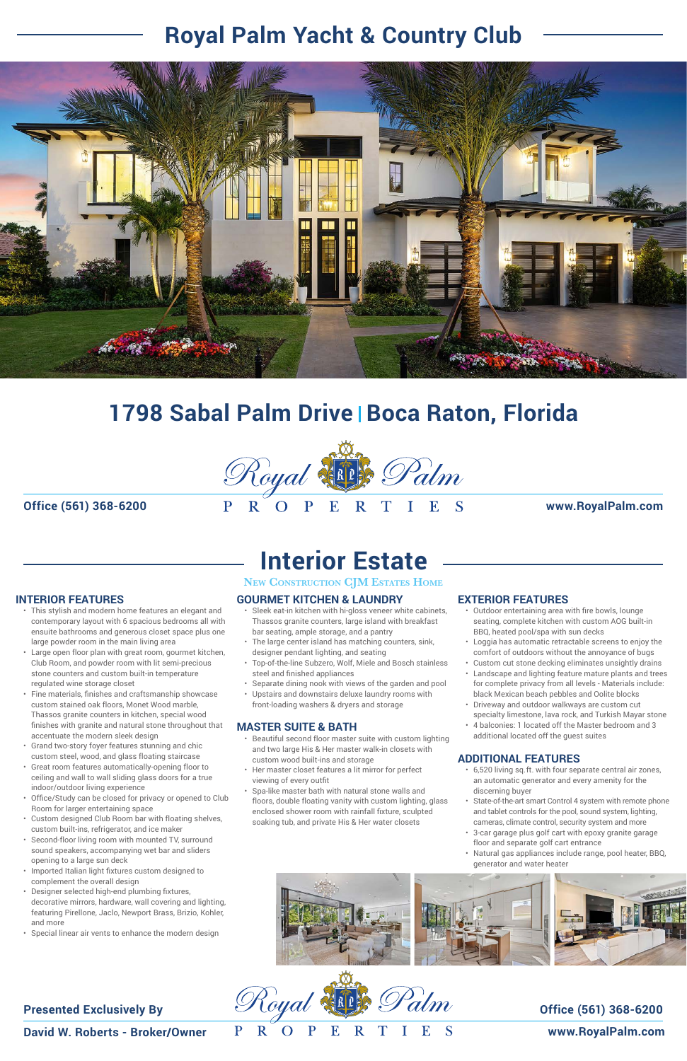**David W. Roberts - Broker/Owner**

 $\mathbf R$  $\mathbf{O}$ P E R T

P

#### **Presented Exclusively By**

**www.RoyalPalm.com**

# **Interior Estate**

#### **NEW CONSTRUCTION CJM ESTATES HOME**

**Office (561) 368-6200 www.RoyalPalm.com**

- This stylish and modern home features an elegant and contemporary layout with 6 spacious bedrooms all with ensuite bathrooms and generous closet space plus one large powder room in the main living area
- Large open floor plan with great room, gourmet kitchen, Club Room, and powder room with lit semi-precious stone counters and custom built-in temperature regulated wine storage closet
- Fine materials, finishes and craftsmanship showcase custom stained oak floors, Monet Wood marble, Thassos granite counters in kitchen, special wood finishes with granite and natural stone throughout that accentuate the modern sleek design
- Grand two-story foyer features stunning and chic custom steel, wood, and glass floating staircase
- Great room features automatically-opening floor to ceiling and wall to wall sliding glass doors for a true
- indoor/outdoor living experience
- Office/Study can be closed for privacy or opened to Club Room for larger entertaining space
- Custom designed Club Room bar with floating shelves, custom built-ins, refrigerator, and ice maker
- Second-floor living room with mounted TV, surround sound speakers, accompanying wet bar and sliders opening to a large sun deck
- Imported Italian light fixtures custom designed to complement the overall design
- Designer selected high-end plumbing fixtures, decorative mirrors, hardware, wall covering and lighting, featuring Pirellone, Jaclo, Newport Brass, Brizio, Kohler, and more
- Special linear air vents to enhance the modern design

#### **Office (561) 368-6200**

## **1798 Sabal Palm Drive** <sup>|</sup> **Boca Raton, Florida**



## **Royal Palm Yacht & Country Club**



#### **INTERIOR FEATURES**

#### **GOURMET KITCHEN & LAUNDRY**

- Sleek eat-in kitchen with hi-gloss veneer white cabinets, Thassos granite counters, large island with breakfast bar seating, ample storage, and a pantry
- The large center island has matching counters, sink, designer pendant lighting, and seating
- Top-of-the-line Subzero, Wolf, Miele and Bosch stainless steel and finished appliances
- Separate dining nook with views of the garden and pool
- Upstairs and downstairs deluxe laundry rooms with front-loading washers & dryers and storage

#### **MASTER SUITE & BATH**

- Beautiful second floor master suite with custom lighting and two large His & Her master walk-in closets with custom wood built-ins and storage
- Her master closet features a lit mirror for perfect

#### **EXTERIOR FEATURES**

- Outdoor entertaining area with fire bowls, lounge seating, complete kitchen with custom AOG built-in BBQ, heated pool/spa with sun decks
- Loggia has automatic retractable screens to enjoy the comfort of outdoors without the annoyance of bugs
- Custom cut stone decking eliminates unsightly drains • Landscape and lighting feature mature plants and trees
- for complete privacy from all levels Materials include: black Mexican beach pebbles and Oolite blocks
- Driveway and outdoor walkways are custom cut specialty limestone, lava rock, and Turkish Mayar stone
- 4 balconies: 1 located off the Master bedroom and 3 additional located off the guest suites

- viewing of every outfit
- Spa-like master bath with natural stone walls and floors, double floating vanity with custom lighting, glass enclosed shower room with rainfall fixture, sculpted soaking tub, and private His & Her water closets
- State-of-the-art smart Control 4 system with remote phone and tablet controls for the pool, sound system, lighting, cameras, climate control, security system and more
- 3-car garage plus golf cart with epoxy granite garage floor and separate golf cart entrance
- Natural gas appliances include range, pool heater, BBQ, generator and water heater

![](_page_0_Picture_45.jpeg)

#### **ADDITIONAL FEATURES**

• 6,520 living sq.ft. with four separate central air zones, an automatic generator and every amenity for the discerning buyer